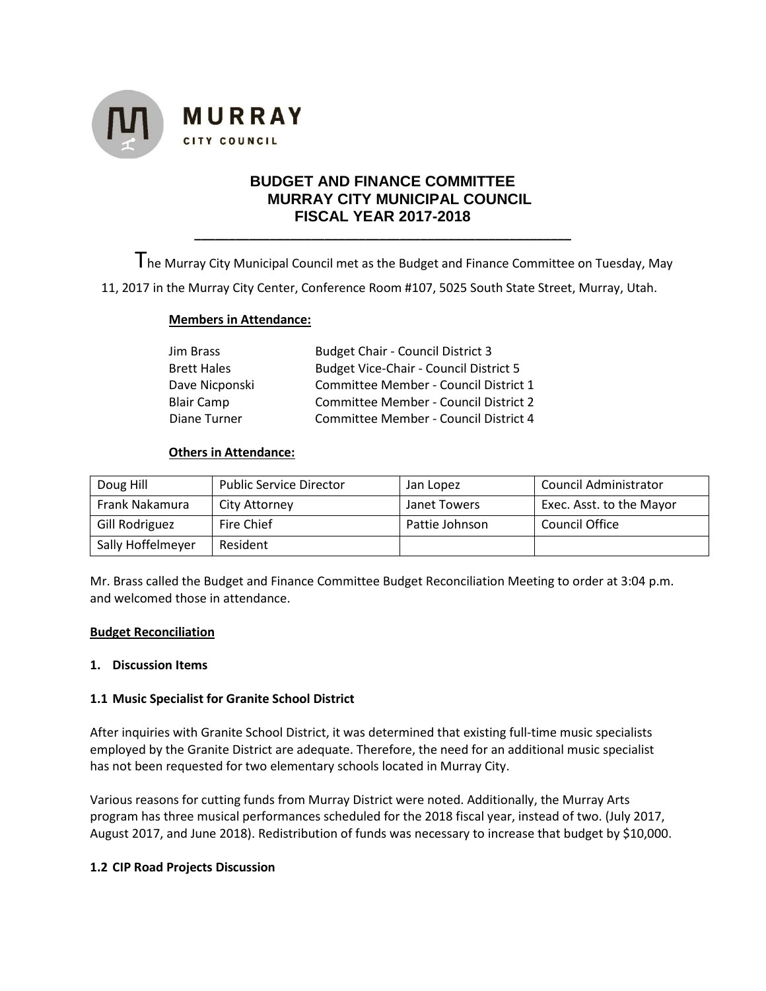

# **BUDGET AND FINANCE COMMITTEE MURRAY CITY MUNICIPAL COUNCIL FISCAL YEAR 2017-2018**

**\_\_\_\_\_\_\_\_\_\_\_\_\_\_\_\_\_\_\_\_\_\_\_\_\_\_\_\_\_\_\_\_\_\_\_\_\_\_\_\_\_\_\_\_\_\_\_\_\_\_\_\_\_\_\_**

The Murray City Municipal Council met as the Budget and Finance Committee on Tuesday, May

11, 2017 in the Murray City Center, Conference Room #107, 5025 South State Street, Murray, Utah.

### **Members in Attendance:**

| Jim Brass          | <b>Budget Chair - Council District 3</b>      |  |
|--------------------|-----------------------------------------------|--|
| <b>Brett Hales</b> | <b>Budget Vice-Chair - Council District 5</b> |  |
| Dave Nicponski     | Committee Member - Council District 1         |  |
| <b>Blair Camp</b>  | Committee Member - Council District 2         |  |
| Diane Turner       | Committee Member - Council District 4         |  |

#### **Others in Attendance:**

| Doug Hill         | <b>Public Service Director</b> | Jan Lopez      | Council Administrator    |
|-------------------|--------------------------------|----------------|--------------------------|
| Frank Nakamura    | City Attorney                  | Janet Towers   | Exec. Asst. to the Mayor |
| Gill Rodriguez    | Fire Chief                     | Pattie Johnson | Council Office           |
| Sally Hoffelmeyer | Resident                       |                |                          |

Mr. Brass called the Budget and Finance Committee Budget Reconciliation Meeting to order at 3:04 p.m. and welcomed those in attendance.

#### **Budget Reconciliation**

#### **1. Discussion Items**

### **1.1 Music Specialist for Granite School District**

After inquiries with Granite School District, it was determined that existing full-time music specialists employed by the Granite District are adequate. Therefore, the need for an additional music specialist has not been requested for two elementary schools located in Murray City.

Various reasons for cutting funds from Murray District were noted. Additionally, the Murray Arts program has three musical performances scheduled for the 2018 fiscal year, instead of two. (July 2017, August 2017, and June 2018). Redistribution of funds was necessary to increase that budget by \$10,000.

### **1.2 CIP Road Projects Discussion**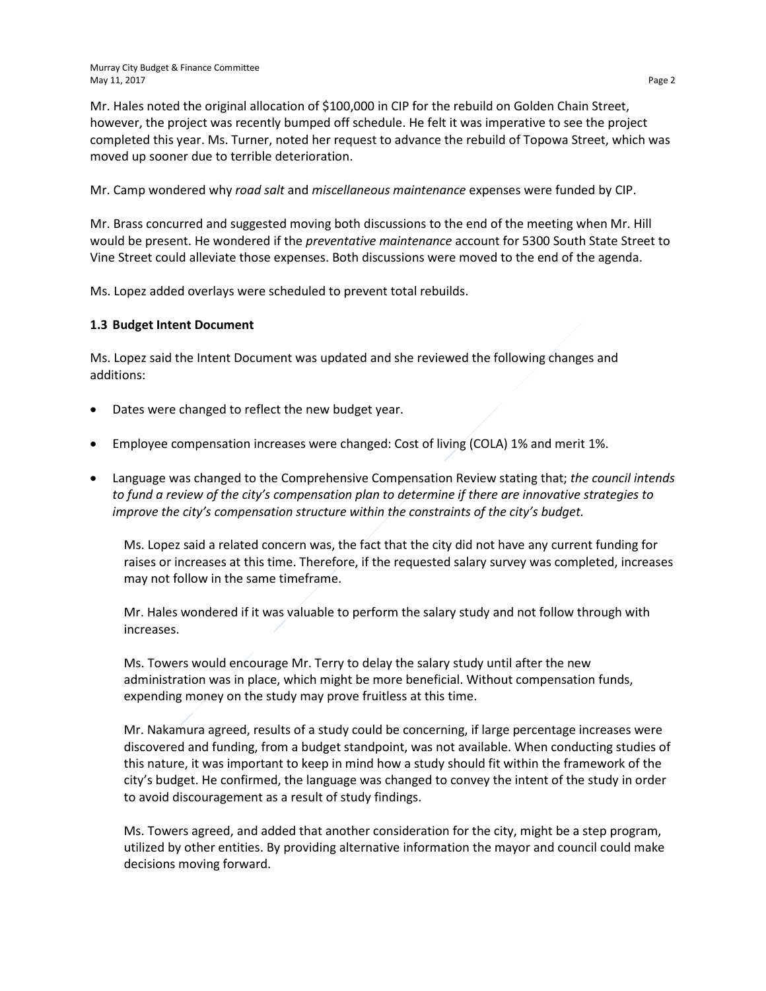Mr. Hales noted the original allocation of \$100,000 in CIP for the rebuild on Golden Chain Street, however, the project was recently bumped off schedule. He felt it was imperative to see the project completed this year. Ms. Turner, noted her request to advance the rebuild of Topowa Street, which was moved up sooner due to terrible deterioration.

Mr. Camp wondered why *road salt* and *miscellaneous maintenance* expenses were funded by CIP.

Mr. Brass concurred and suggested moving both discussions to the end of the meeting when Mr. Hill would be present. He wondered if the *preventative maintenance* account for 5300 South State Street to Vine Street could alleviate those expenses. Both discussions were moved to the end of the agenda.

Ms. Lopez added overlays were scheduled to prevent total rebuilds.

## **1.3 Budget Intent Document**

Ms. Lopez said the Intent Document was updated and she reviewed the following changes and additions:

- Dates were changed to reflect the new budget year.
- Employee compensation increases were changed: Cost of living (COLA) 1% and merit 1%.
- Language was changed to the Comprehensive Compensation Review stating that; *the council intends to fund a review of the city's compensation plan to determine if there are innovative strategies to improve the city's compensation structure within the constraints of the city's budget.*

Ms. Lopez said a related concern was, the fact that the city did not have any current funding for raises or increases at this time. Therefore, if the requested salary survey was completed, increases may not follow in the same timeframe.

Mr. Hales wondered if it was valuable to perform the salary study and not follow through with increases.

Ms. Towers would encourage Mr. Terry to delay the salary study until after the new administration was in place, which might be more beneficial. Without compensation funds, expending money on the study may prove fruitless at this time.

Mr. Nakamura agreed, results of a study could be concerning, if large percentage increases were discovered and funding, from a budget standpoint, was not available. When conducting studies of this nature, it was important to keep in mind how a study should fit within the framework of the city's budget. He confirmed, the language was changed to convey the intent of the study in order to avoid discouragement as a result of study findings.

Ms. Towers agreed, and added that another consideration for the city, might be a step program, utilized by other entities. By providing alternative information the mayor and council could make decisions moving forward.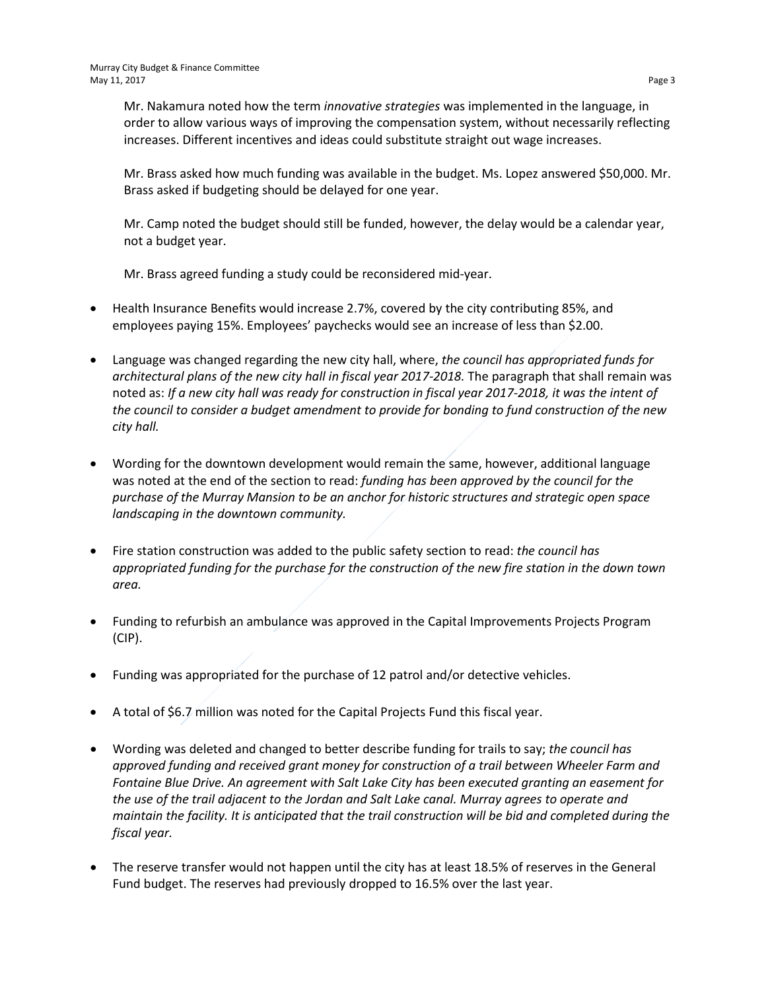Mr. Nakamura noted how the term *innovative strategies* was implemented in the language, in order to allow various ways of improving the compensation system, without necessarily reflecting increases. Different incentives and ideas could substitute straight out wage increases.

Mr. Brass asked how much funding was available in the budget. Ms. Lopez answered \$50,000. Mr. Brass asked if budgeting should be delayed for one year.

Mr. Camp noted the budget should still be funded, however, the delay would be a calendar year, not a budget year.

Mr. Brass agreed funding a study could be reconsidered mid-year.

- Health Insurance Benefits would increase 2.7%, covered by the city contributing 85%, and employees paying 15%. Employees' paychecks would see an increase of less than \$2.00.
- Language was changed regarding the new city hall, where, *the council has appropriated funds for architectural plans of the new city hall in fiscal year 2017-2018.* The paragraph that shall remain was noted as: *If a new city hall was ready for construction in fiscal year 2017-2018, it was the intent of the council to consider a budget amendment to provide for bonding to fund construction of the new city hall.*
- Wording for the downtown development would remain the same, however, additional language was noted at the end of the section to read: *funding has been approved by the council for the purchase of the Murray Mansion to be an anchor for historic structures and strategic open space landscaping in the downtown community.*
- Fire station construction was added to the public safety section to read: *the council has appropriated funding for the purchase for the construction of the new fire station in the down town area.*
- Funding to refurbish an ambulance was approved in the Capital Improvements Projects Program (CIP).
- Funding was appropriated for the purchase of 12 patrol and/or detective vehicles.
- A total of \$6.7 million was noted for the Capital Projects Fund this fiscal year.
- Wording was deleted and changed to better describe funding for trails to say; *the council has approved funding and received grant money for construction of a trail between Wheeler Farm and Fontaine Blue Drive. An agreement with Salt Lake City has been executed granting an easement for the use of the trail adjacent to the Jordan and Salt Lake canal. Murray agrees to operate and maintain the facility. It is anticipated that the trail construction will be bid and completed during the fiscal year.*
- The reserve transfer would not happen until the city has at least 18.5% of reserves in the General Fund budget. The reserves had previously dropped to 16.5% over the last year.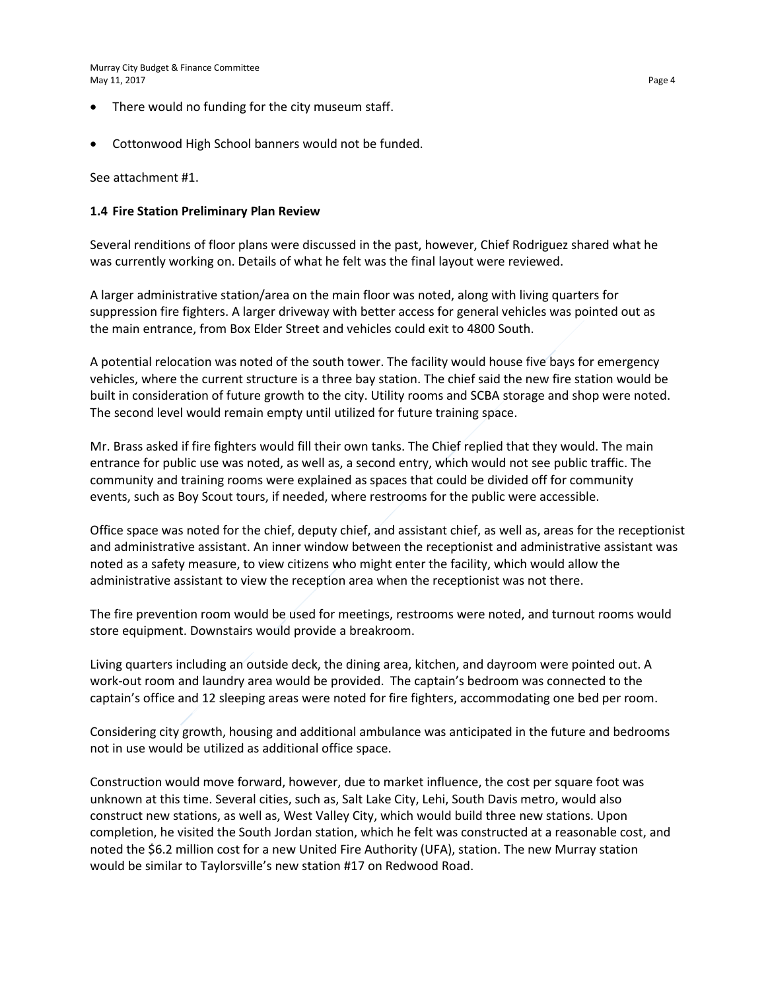Murray City Budget & Finance Committee May 11, 2017 Page 4

- There would no funding for the city museum staff.
- Cottonwood High School banners would not be funded.

See attachment #1.

#### **1.4 Fire Station Preliminary Plan Review**

Several renditions of floor plans were discussed in the past, however, Chief Rodriguez shared what he was currently working on. Details of what he felt was the final layout were reviewed.

A larger administrative station/area on the main floor was noted, along with living quarters for suppression fire fighters. A larger driveway with better access for general vehicles was pointed out as the main entrance, from Box Elder Street and vehicles could exit to 4800 South.

A potential relocation was noted of the south tower. The facility would house five bays for emergency vehicles, where the current structure is a three bay station. The chief said the new fire station would be built in consideration of future growth to the city. Utility rooms and SCBA storage and shop were noted. The second level would remain empty until utilized for future training space.

Mr. Brass asked if fire fighters would fill their own tanks. The Chief replied that they would. The main entrance for public use was noted, as well as, a second entry, which would not see public traffic. The community and training rooms were explained as spaces that could be divided off for community events, such as Boy Scout tours, if needed, where restrooms for the public were accessible.

Office space was noted for the chief, deputy chief, and assistant chief, as well as, areas for the receptionist and administrative assistant. An inner window between the receptionist and administrative assistant was noted as a safety measure, to view citizens who might enter the facility, which would allow the administrative assistant to view the reception area when the receptionist was not there.

The fire prevention room would be used for meetings, restrooms were noted, and turnout rooms would store equipment. Downstairs would provide a breakroom.

Living quarters including an outside deck, the dining area, kitchen, and dayroom were pointed out. A work-out room and laundry area would be provided. The captain's bedroom was connected to the captain's office and 12 sleeping areas were noted for fire fighters, accommodating one bed per room.

Considering city growth, housing and additional ambulance was anticipated in the future and bedrooms not in use would be utilized as additional office space.

Construction would move forward, however, due to market influence, the cost per square foot was unknown at this time. Several cities, such as, Salt Lake City, Lehi, South Davis metro, would also construct new stations, as well as, West Valley City, which would build three new stations. Upon completion, he visited the South Jordan station, which he felt was constructed at a reasonable cost, and noted the \$6.2 million cost for a new United Fire Authority (UFA), station. The new Murray station would be similar to Taylorsville's new station #17 on Redwood Road.